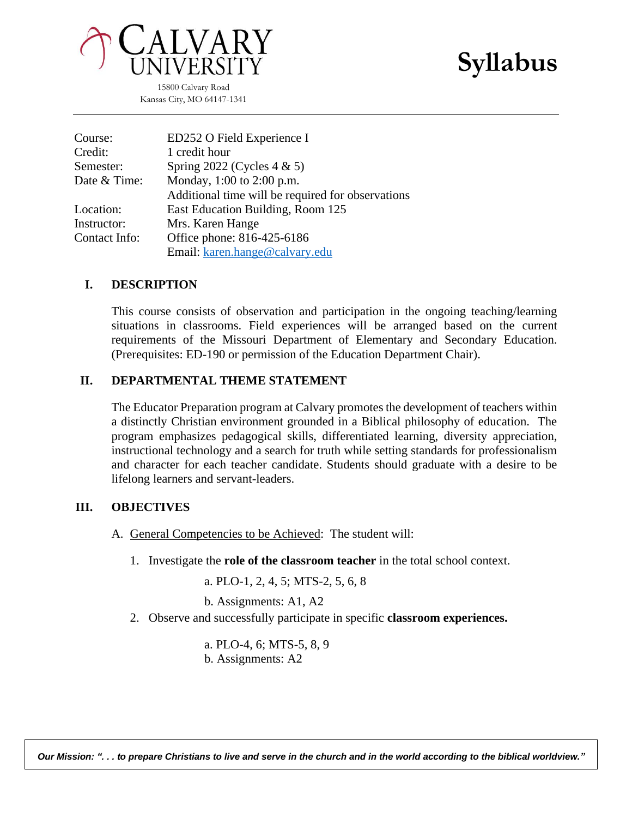# **Syllabus**



15800 Calvary Road Kansas City, MO 64147-1341

| Course:       | ED252 O Field Experience I                        |
|---------------|---------------------------------------------------|
| Credit:       | 1 credit hour                                     |
| Semester:     | Spring 2022 (Cycles $4 \& 5$ )                    |
| Date & Time:  | Monday, 1:00 to 2:00 p.m.                         |
|               | Additional time will be required for observations |
| Location:     | East Education Building, Room 125                 |
| Instructor:   | Mrs. Karen Hange                                  |
| Contact Info: | Office phone: 816-425-6186                        |
|               | Email: karen.hange@calvary.edu                    |

#### **I. DESCRIPTION**

This course consists of observation and participation in the ongoing teaching/learning situations in classrooms. Field experiences will be arranged based on the current requirements of the Missouri Department of Elementary and Secondary Education. (Prerequisites: ED-190 or permission of the Education Department Chair).

#### **II. DEPARTMENTAL THEME STATEMENT**

The Educator Preparation program at Calvary promotes the development of teachers within a distinctly Christian environment grounded in a Biblical philosophy of education. The program emphasizes pedagogical skills, differentiated learning, diversity appreciation, instructional technology and a search for truth while setting standards for professionalism and character for each teacher candidate. Students should graduate with a desire to be lifelong learners and servant-leaders.

#### **III. OBJECTIVES**

- A. General Competencies to be Achieved: The student will:
	- 1. Investigate the **role of the classroom teacher** in the total school context.

a. PLO-1, 2, 4, 5; MTS-2, 5, 6, 8

b. Assignments: A1, A2

2. Observe and successfully participate in specific **classroom experiences.**

a. PLO-4, 6; MTS-5, 8, 9 b. Assignments: A2

*Our Mission: ". . . to prepare Christians to live and serve in the church and in the world according to the biblical worldview."*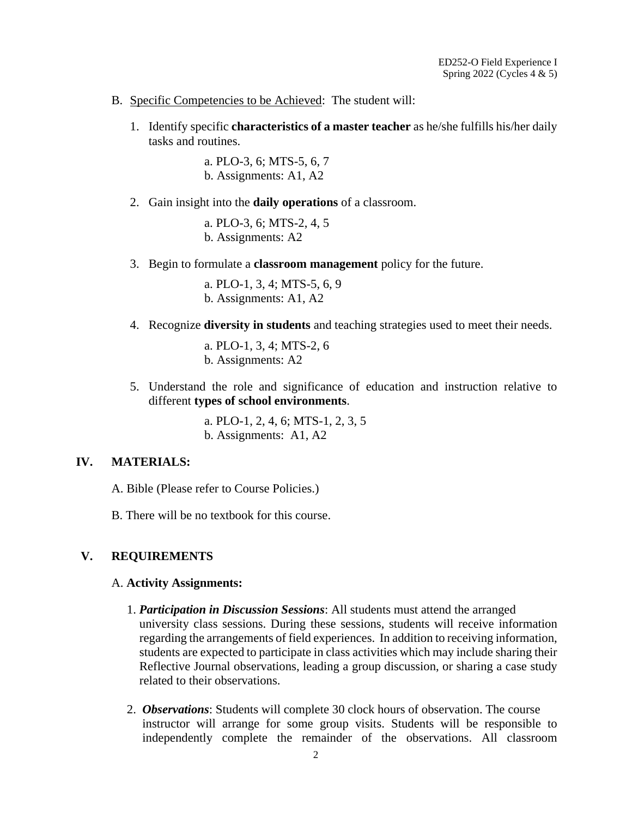- B. Specific Competencies to be Achieved: The student will:
	- 1. Identify specific **characteristics of a master teacher** as he/she fulfills his/her daily tasks and routines.

a. PLO-3, 6; MTS-5, 6, 7 b. Assignments: A1, A2

2. Gain insight into the **daily operations** of a classroom.

a. PLO-3, 6; MTS-2, 4, 5 b. Assignments: A2

3. Begin to formulate a **classroom management** policy for the future.

a. PLO-1, 3, 4; MTS-5, 6, 9 b. Assignments: A1, A2

4. Recognize **diversity in students** and teaching strategies used to meet their needs.

a. PLO-1, 3, 4; MTS-2, 6 b. Assignments: A2

5. Understand the role and significance of education and instruction relative to different **types of school environments**.

> a. PLO-1, 2, 4, 6; MTS-1, 2, 3, 5 b. Assignments: A1, A2

#### **IV. MATERIALS:**

A. Bible (Please refer to Course Policies.)

B. There will be no textbook for this course.

#### **V. REQUIREMENTS**

#### A. **Activity Assignments:**

- 1. *Participation in Discussion Sessions*: All students must attend the arranged university class sessions. During these sessions, students will receive information regarding the arrangements of field experiences. In addition to receiving information, students are expected to participate in class activities which may include sharing their Reflective Journal observations, leading a group discussion, or sharing a case study related to their observations.
- 2. *Observations*: Students will complete 30 clock hours of observation. The course instructor will arrange for some group visits. Students will be responsible to independently complete the remainder of the observations. All classroom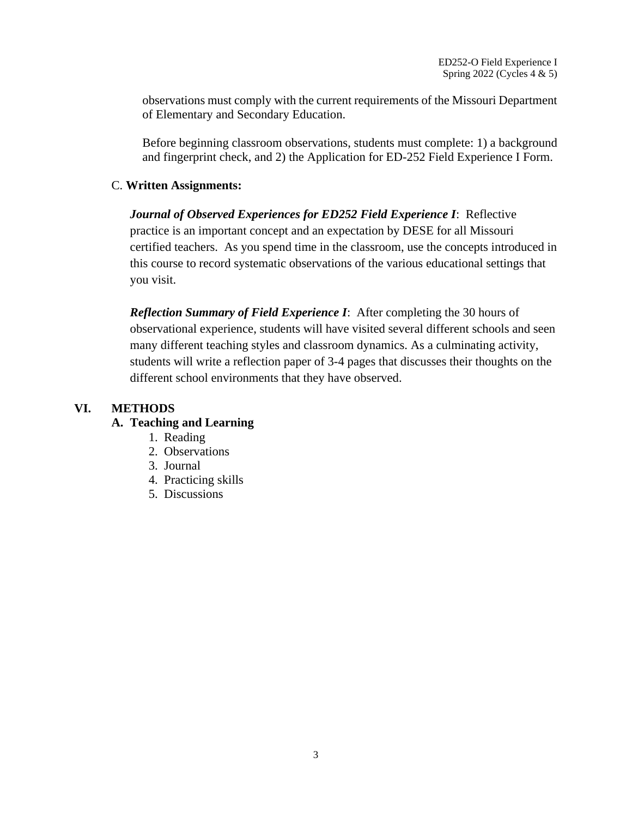observations must comply with the current requirements of the Missouri Department of Elementary and Secondary Education.

Before beginning classroom observations, students must complete: 1) a background and fingerprint check, and 2) the Application for ED-252 Field Experience I Form.

#### C. **Written Assignments:**

*Journal of Observed Experiences for ED252 Field Experience I*: Reflective practice is an important concept and an expectation by DESE for all Missouri certified teachers. As you spend time in the classroom, use the concepts introduced in this course to record systematic observations of the various educational settings that you visit.

*Reflection Summary of Field Experience I*: After completing the 30 hours of observational experience, students will have visited several different schools and seen many different teaching styles and classroom dynamics. As a culminating activity, students will write a reflection paper of 3-4 pages that discusses their thoughts on the different school environments that they have observed.

## **VI. METHODS**

### **A. Teaching and Learning**

- 1. Reading
- 2. Observations
- 3. Journal
- 4. Practicing skills
- 5. Discussions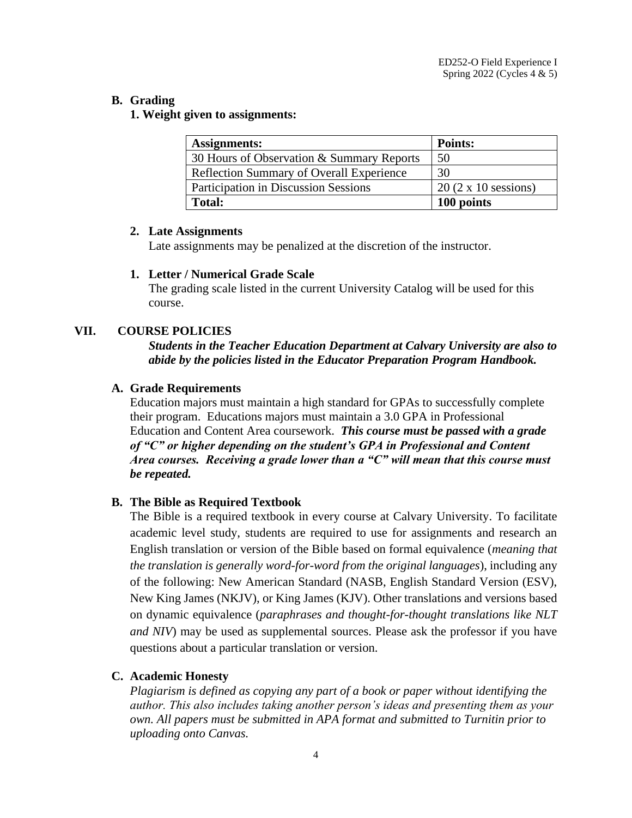#### **B. Grading**

**1. Weight given to assignments:**

| <b>Assignments:</b>                             | Points:                    |
|-------------------------------------------------|----------------------------|
| 30 Hours of Observation & Summary Reports       | 50                         |
| <b>Reflection Summary of Overall Experience</b> | 30                         |
| <b>Participation in Discussion Sessions</b>     | $20(2 \times 10$ sessions) |
| <b>Total:</b>                                   | 100 points                 |

#### **2. Late Assignments**

Late assignments may be penalized at the discretion of the instructor.

#### **1. Letter / Numerical Grade Scale**

The grading scale listed in the current University Catalog will be used for this course.

#### **VII. COURSE POLICIES**

*Students in the Teacher Education Department at Calvary University are also to abide by the policies listed in the Educator Preparation Program Handbook.* 

#### **A. Grade Requirements**

Education majors must maintain a high standard for GPAs to successfully complete their program. Educations majors must maintain a 3.0 GPA in Professional Education and Content Area coursework. *This course must be passed with a grade of "C" or higher depending on the student's GPA in Professional and Content Area courses. Receiving a grade lower than a "C" will mean that this course must be repeated.*

#### **B. The Bible as Required Textbook**

The Bible is a required textbook in every course at Calvary University. To facilitate academic level study, students are required to use for assignments and research an English translation or version of the Bible based on formal equivalence (*meaning that the translation is generally word-for-word from the original languages*), including any of the following: New American Standard (NASB, English Standard Version (ESV), New King James (NKJV), or King James (KJV). Other translations and versions based on dynamic equivalence (*paraphrases and thought-for-thought translations like NLT and NIV*) may be used as supplemental sources. Please ask the professor if you have questions about a particular translation or version.

#### **C. Academic Honesty**

*Plagiarism is defined as copying any part of a book or paper without identifying the author. This also includes taking another person's ideas and presenting them as your own. All papers must be submitted in APA format and submitted to Turnitin prior to uploading onto Canvas.*